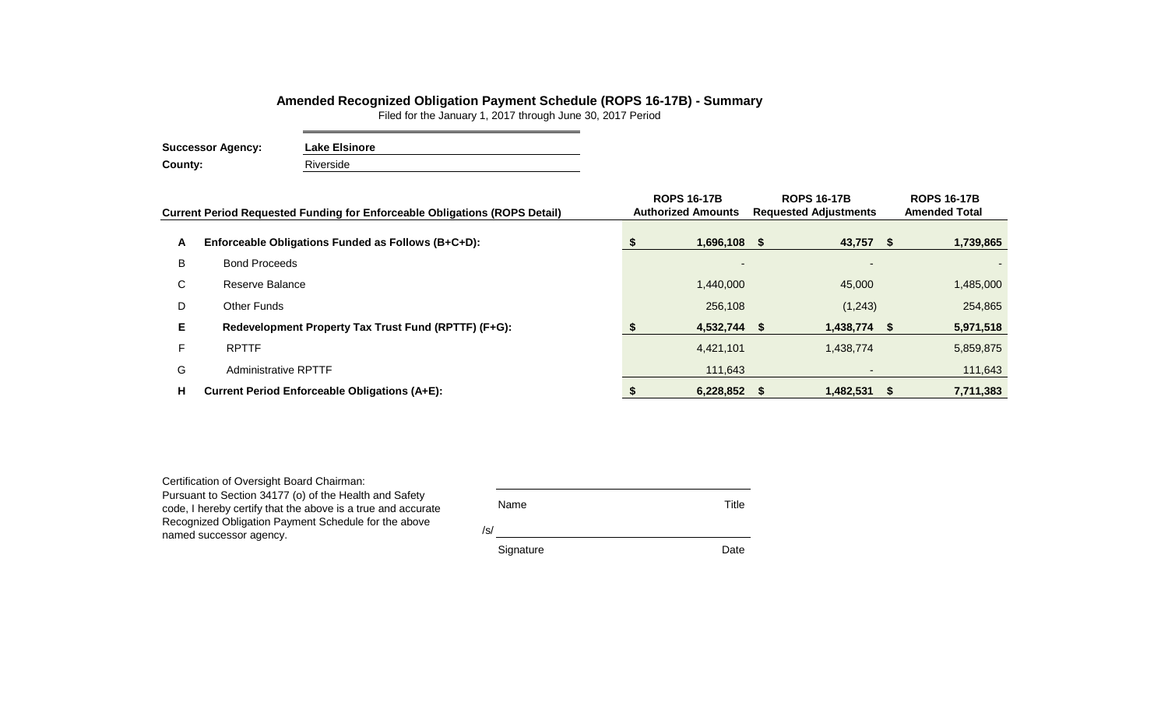## **Amended Recognized Obligation Payment Schedule (ROPS 16-17B) - Summary**

Filed for the January 1, 2017 through June 30, 2017 Period

**Successor Agency: Lake Elsinore County:** Riverside

|    | <b>Current Period Requested Funding for Enforceable Obligations (ROPS Detail)</b> | <b>ROPS 16-17B</b><br><b>Authorized Amounts</b> | <b>ROPS 16-17B</b><br><b>Requested Adjustments</b> |                |  | <b>ROPS 16-17B</b><br><b>Amended Total</b> |  |
|----|-----------------------------------------------------------------------------------|-------------------------------------------------|----------------------------------------------------|----------------|--|--------------------------------------------|--|
| A  | Enforceable Obligations Funded as Follows (B+C+D):                                | 1,696,108 \$                                    |                                                    | 43,757 \$      |  | 1,739,865                                  |  |
| B  | <b>Bond Proceeds</b>                                                              |                                                 |                                                    |                |  |                                            |  |
| C  | Reserve Balance                                                                   | 1,440,000                                       |                                                    | 45,000         |  | 1,485,000                                  |  |
| D  | Other Funds                                                                       | 256,108                                         |                                                    | (1,243)        |  | 254,865                                    |  |
| E. | Redevelopment Property Tax Trust Fund (RPTTF) (F+G):                              | $4,532,744$ \$                                  |                                                    | $1,438,774$ \$ |  | 5,971,518                                  |  |
| F. | <b>RPTTF</b>                                                                      | 4,421,101                                       |                                                    | 1,438,774      |  | 5,859,875                                  |  |
| G  | <b>Administrative RPTTF</b>                                                       | 111,643                                         |                                                    |                |  | 111,643                                    |  |
| н  | <b>Current Period Enforceable Obligations (A+E):</b>                              | 6,228,852                                       |                                                    | $1,482,531$ \$ |  | 7,711,383                                  |  |

Certification of Oversight Board Chairman: Pursuant to Section 34177 (o) of the Health and Safety code, I hereby certify that the above is a true and accurate Recognized Obligation Payment Schedule for the above named successor agency.

| Name      | Title |
|-----------|-------|
| /s/       |       |
| Signature | Date  |